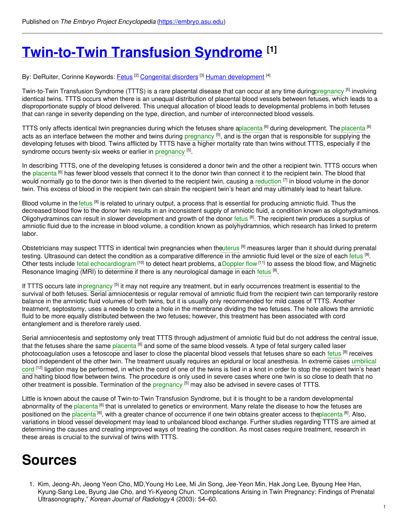# **[Twin-to-Twin](https://embryo.asu.edu/pages/twin-twin-transfusion-syndrome) Transfusion Syndrome [1]**

By: DeRuiter, Corinne Keywords: <u>[Fetus](https://embryo.asu.edu/keywords/fetus) [2] [Congenital](https://embryo.asu.edu/keywords/congenital-disorders) disorders</u> [3] <u>Human [development](https://embryo.asu.edu/keywords/human-development)</u> [4]

Twin-to-Twin Transfusion Syndrome (TTTS) is a rare placental disease that can occur at any time durin[gpregnancy](https://embryo.asu.edu/search?text=pregnancy) <sup>[5]</sup> involving identical twins. TTTS occurs when there is an unequal distribution of placental blood vessels between fetuses, which leads to a disproportionate supply of blood delivered. This unequal allocation of blood leads to developmental problems in both fetuses that can range in severity depending on the type, direction, and number of interconnected blood vessels.

TTTS only affects identical twin pregnancies during which the fetuses share [aplacenta](https://embryo.asu.edu/search?text=placenta) <sup>[6]</sup> during development. The [placenta](https://embryo.asu.edu/search?text=placenta) <sup>[6]</sup> acts as an interface between the mother and twins during [pregnancy](https://embryo.asu.edu/search?text=pregnancy) <sup>[5]</sup>, and is the organ that is responsible for supplying the developing fetuses with blood. Twins afflicted by TTTS have a higher mortality rate than twins without TTTS, especially if the syndrome occurs twenty-six weeks or earlier in [pregnancy](https://embryo.asu.edu/search?text=pregnancy) [5].

In describing TTTS, one of the developing fetuses is considered a donor twin and the other a recipient twin. TTTS occurs when the [placenta](https://embryo.asu.edu/search?text=placenta) <sup>[6]</sup> has fewer blood vessels that connect it to the donor twin than connect it to the recipient twin. The blood that would normally go to the donor twin is then diverted to the recipient twin, causing a [reduction](https://embryo.asu.edu/search?text=reduction) <sup>[7]</sup> in blood volume in the donor twin. This excess of blood in the recipient twin can strain the recipient twin's heart and may ultimately lead to heart failure.

Blood volume in the [fetus](https://embryo.asu.edu/search?text=fetus) <sup>[8]</sup> is related to urinary output, a process that is essential for producing amniotic fluid. Thus the decreased blood flow to the donor twin results in an inconsistent supply of amniotic fluid, a condition known as oligohydraminos. Oligohydraminos can result in slower development and growth of the donor [fetus](https://embryo.asu.edu/search?text=fetus) <sup>[8]</sup>. The recipient twin produces a surplus of amniotic fluid due to the increase in blood volume, a condition known as polyhydramnios, which research has linked to preterm labor.

Obstetricians may suspect TTTS in identical twin pregnancies when th[euterus](https://embryo.asu.edu/search?text=uterus) <sup>[9]</sup> measures larger than it should during prenatal testing. Ultrasound can detect the condition as a comparative difference in the amniotic fluid level or the size of each [fetus](https://embryo.asu.edu/search?text=fetus) <sup>[8]</sup>. Other tests include fetal [echocardiogram](https://embryo.asu.edu/search?text=fetal%20echocardiogram) <sup>[10]</sup> to detect heart problems, a [Doppler](https://embryo.asu.edu/search?text=Doppler%20flow) flow <sup>[11]</sup> to assess the blood flow, and Magnetic Resonance Imaging (MRI) to determine if there is any neurological damage in each [fetus](https://embryo.asu.edu/search?text=fetus) <sup>[8]</sup>.

If TTTS occurs late in [pregnancy](https://embryo.asu.edu/search?text=pregnancy) <sup>[5]</sup> it may not require any treatment, but in early occurrences treatment is essential to the survival of both fetuses. Serial amniocentesis or regular removal of amniotic fluid from the recipient twin can temporarily restore balance in the amniotic fluid volumes of both twins, but it is usually only recommended for mild cases of TTTS. Another treatment, septostomy, uses a needle to create a hole in the membrane dividing the two fetuses. The hole allows the amniotic fluid to be more equally distributed between the two fetuses; however, this treatment has been associated with cord entanglement and is therefore rarely used.

Serial amniocentesis and septostomy only treat TTTS through adjustment of amniotic fluid but do not address the central issue, that the fetuses share the same <mark>[placenta](https://embryo.asu.edu/search?text=placenta) <sup>[6]</sup> and some of the same blood vessels. A type of fetal surgery called laser</mark> photocoagulation uses a fetoscope and laser to close the placental blood vessels that [fetus](https://embryo.asu.edu/search?text=fetus)es share so each fetus <sup>[8]</sup> receives blood [independent](https://embryo.asu.edu/search?text=umbilical%20cord) of the other twin. The treatment usually requires an epidural or local anesthesia. In extreme cases umbilical cord <sup>[12]</sup> ligation may be performed, in which the cord of one of the twins is tied in a knot in order to stop the recipient twin's heart and halting blood flow between twins. The procedure is only used in severe cases where one twin is so close to death that no other treatment is possible. Termination of the [pregnancy](https://embryo.asu.edu/search?text=pregnancy) <sup>[5]</sup> may also be advised in severe cases of TTTS.

Little is known about the cause of Twin-to-Twin Transfusion Syndrome, but it is thought to be a random developmental abnormality of the [placenta](https://embryo.asu.edu/search?text=placenta) <sup>[6]</sup> that is unrelated to genetics or environment. Many relate the disease to how the fetuses are positioned on the [placenta](https://embryo.asu.edu/search?text=placenta) <sup>[6]</sup>, with a greater chance of occurrence if one twin obtains greater access to th<del>[eplacenta](https://embryo.asu.edu/search?text=placenta)</del> [6]. Also, variations in blood vessel development may lead to unbalanced blood exchange. Further studies regarding TTTS are aimed at determining the causes and creating improved ways of treating the condition. As most cases require treatment, research in these areas is crucial to the survival of twins with TTTS.

## **Sources**

1. Kim, Jeong-Ah, Jeong Yeon Cho, MD,Young Ho Lee, Mi Jin Song, Jee-Yeon Min, Hak Jong Lee, Byoung Hee Han, Kyung-Sang Lee, Byung Jae Cho, and Yi-Kyeong Chun. "Complications Arising in Twin Pregnancy: Findings of Prenatal Ultrasonography," *Korean Journal of Radiology* 4 (2003): 54–60.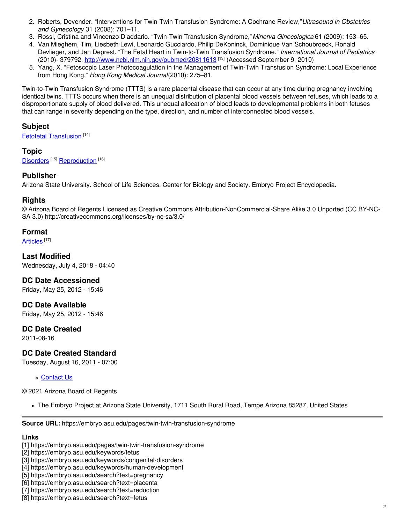- 2. Roberts, Devender. "Interventions for Twin-Twin Transfusion Syndrome: A Cochrane Review,"*Ultrasound in Obstetrics and Gynecology* 31 (2008): 701–11.
- 3. Rossi, Cristina and Vincenzo D'addario. "Twin-Twin Transfusion Syndrome,"*Minerva Ginecologica* 61 (2009): 153–65.
- 4. Van Mieghem, Tim, Liesbeth Lewi, Leonardo Gucciardo, Philip DeKoninck, Dominique Van Schoubroeck, Ronald Devlieger, and Jan Deprest. "The Fetal Heart in Twin-to-Twin Transfusion Syndrome." *International Journal of Pediatrics* (2010)- 379792. <u><http://www.ncbi.nlm.nih.gov/pubmed/20811613></u> <sup>[13]</sup> (Accessed September 9, 2010)
- 5. Yang, X. "Fetoscopic Laser Photocoagulation in the Management of Twin-Twin Transfusion Syndrome: Local Experience from Hong Kong," *Hong Kong Medical Journal*(2010): 275–81.

Twin-to-Twin Transfusion Syndrome (TTTS) is a rare placental disease that can occur at any time during pregnancy involving identical twins. TTTS occurs when there is an unequal distribution of placental blood vessels between fetuses, which leads to a disproportionate supply of blood delivered. This unequal allocation of blood leads to developmental problems in both fetuses that can range in severity depending on the type, direction, and number of interconnected blood vessels.

### **Subject**

Fetofetal [Transfusion](https://embryo.asu.edu/medical-subject-headings/fetofetal-transfusion)<sup>[14]</sup>

### **Topic**

[Disorders](https://embryo.asu.edu/topics/disorders)<sup>[15]</sup> [Reproduction](https://embryo.asu.edu/topics/reproduction)<sup>[16]</sup>

### **Publisher**

Arizona State University. School of Life Sciences. Center for Biology and Society. Embryo Project Encyclopedia.

### **Rights**

© Arizona Board of Regents Licensed as Creative Commons Attribution-NonCommercial-Share Alike 3.0 Unported (CC BY-NC-SA 3.0) http://creativecommons.org/licenses/by-nc-sa/3.0/

### **Format**

[Articles](https://embryo.asu.edu/formats/articles) <sup>[17]</sup>

**Last Modified** Wednesday, July 4, 2018 - 04:40

**DC Date Accessioned**

Friday, May 25, 2012 - 15:46

## **DC Date Available**

Friday, May 25, 2012 - 15:46

### **DC Date Created**

2011-08-16

## **DC Date Created Standard**

Tuesday, August 16, 2011 - 07:00

[Contact](https://embryo.asu.edu/contact) Us

© 2021 Arizona Board of Regents

The Embryo Project at Arizona State University, 1711 South Rural Road, Tempe Arizona 85287, United States

**Source URL:** https://embryo.asu.edu/pages/twin-twin-transfusion-syndrome

#### **Links**

- [4] https://embryo.asu.edu/keywords/human-development
- [5] https://embryo.asu.edu/search?text=pregnancy
- [6] https://embryo.asu.edu/search?text=placenta
- [7] https://embryo.asu.edu/search?text=reduction
- [8] https://embryo.asu.edu/search?text=fetus

<sup>[1]</sup> https://embryo.asu.edu/pages/twin-twin-transfusion-syndrome

<sup>[2]</sup> https://embryo.asu.edu/keywords/fetus

<sup>[3]</sup> https://embryo.asu.edu/keywords/congenital-disorders